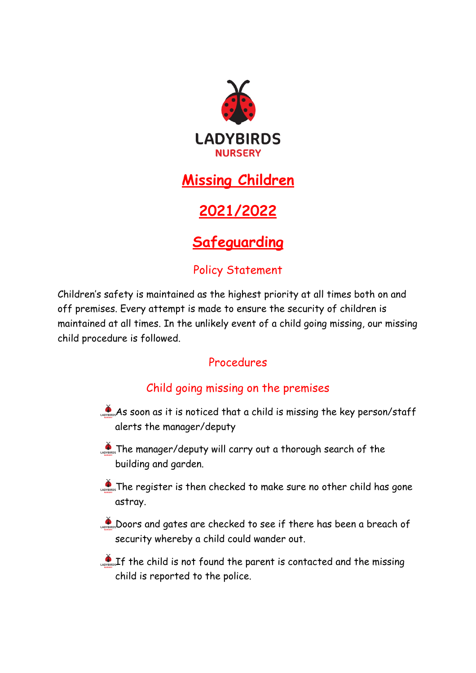

## **Missing Children**

# **2021/2022**

# **Safeguarding**

### Policy Statement

Children's safety is maintained as the highest priority at all times both on and off premises. Every attempt is made to ensure the security of children is maintained at all times. In the unlikely event of a child going missing, our missing child procedure is followed.

### Procedures

### Child going missing on the premises

- As soon as it is noticed that a child is missing the key person/staff alerts the manager/deputy
- **The manager/deputy will carry out a thorough search of the** building and garden.
- The register is then checked to make sure no other child has gone astray.
- Doors and gates are checked to see if there has been a breach of security whereby a child could wander out.
- LA SOLET The child is not found the parent is contacted and the missing child is reported to the police.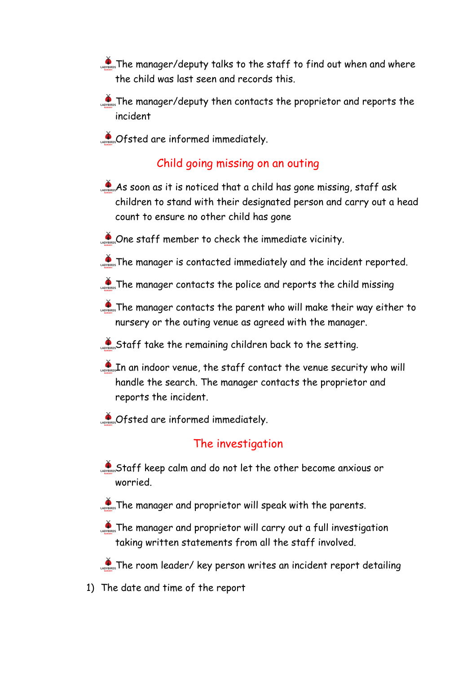- **The manager/deputy talks to the staff to find out when and where** the child was last seen and records this.
- The manager/deputy then contacts the proprietor and reports the incident
- **CASEG ARE INFORMED IMMEDIATELY.**

#### Child going missing on an outing

- As soon as it is noticed that a child has gone missing, staff ask children to stand with their designated person and carry out a head count to ensure no other child has gone
- Cone staff member to check the immediate vicinity.
- **A** The manager is contacted immediately and the incident reported.
- The manager contacts the police and reports the child missing
- $\sum_{n=1}^{\infty}$  The manager contacts the parent who will make their way either to nursery or the outing venue as agreed with the manager.
- Staff take the remaining children back to the setting.
- LADREFIN an indoor venue, the staff contact the venue security who will handle the search. The manager contacts the proprietor and reports the incident.
- **CADREGISTED ATE informed immediately.**

#### The investigation

- Staff keep calm and do not let the other become anxious or worried.
- **The manager and proprietor will speak with the parents.**
- **The manager and proprietor will carry out a full investigation** taking written statements from all the staff involved.

**The room leader/ key person writes an incident report detailing** 

1) The date and time of the report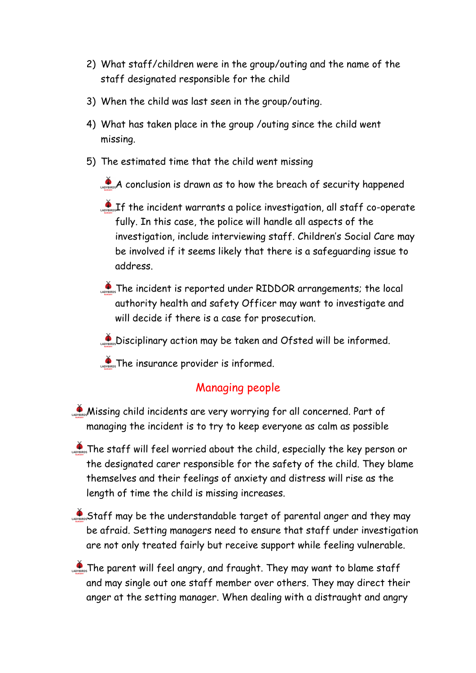- 2) What staff/children were in the group/outing and the name of the staff designated responsible for the child
- 3) When the child was last seen in the group/outing.
- 4) What has taken place in the group /outing since the child went missing.
- 5) The estimated time that the child went missing

 $\mathcal{A}$  conclusion is drawn as to how the breach of security happened

- $\mathcal{L}_{\text{cross}}$  incident warrants a police investigation, all staff co-operate fully. In this case, the police will handle all aspects of the investigation, include interviewing staff. Children's Social Care may be involved if it seems likely that there is a safeguarding issue to address.
- **The incident is reported under RIDDOR arrangements; the local** authority health and safety Officer may want to investigate and will decide if there is a case for prosecution.

Disciplinary action may be taken and Ofsted will be informed.

**The insurance provider is informed.** 

#### Managing people

- **Missing child incidents are very worrying for all concerned. Part of** managing the incident is to try to keep everyone as calm as possible
- **Pass** The staff will feel worried about the child, especially the key person or the designated carer responsible for the safety of the child. They blame themselves and their feelings of anxiety and distress will rise as the length of time the child is missing increases.
- Staff may be the understandable target of parental anger and they may be afraid. Setting managers need to ensure that staff under investigation are not only treated fairly but receive support while feeling vulnerable.
- The parent will feel angry, and fraught. They may want to blame staff and may single out one staff member over others. They may direct their anger at the setting manager. When dealing with a distraught and angry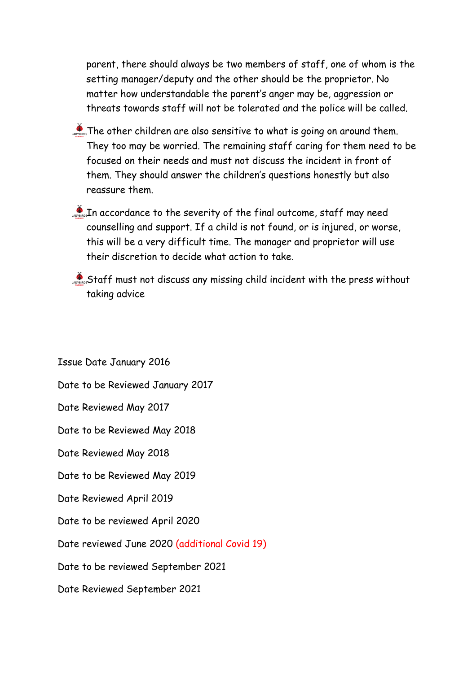parent, there should always be two members of staff, one of whom is the setting manager/deputy and the other should be the proprietor. No matter how understandable the parent's anger may be, aggression or threats towards staff will not be tolerated and the police will be called.

- The other children are also sensitive to what is going on around them. They too may be worried. The remaining staff caring for them need to be focused on their needs and must not discuss the incident in front of them. They should answer the children's questions honestly but also reassure them.
- In accordance to the severity of the final outcome, staff may need counselling and support. If a child is not found, or is injured, or worse, this will be a very difficult time. The manager and proprietor will use their discretion to decide what action to take.
- Staff must not discuss any missing child incident with the press without taking advice

Issue Date January 2016 Date to be Reviewed January 2017 Date Reviewed May 2017 Date to be Reviewed May 2018 Date Reviewed May 2018 Date to be Reviewed May 2019 Date Reviewed April 2019 Date to be reviewed April 2020 Date reviewed June 2020 (additional Covid 19) Date to be reviewed September 2021 Date Reviewed September 2021